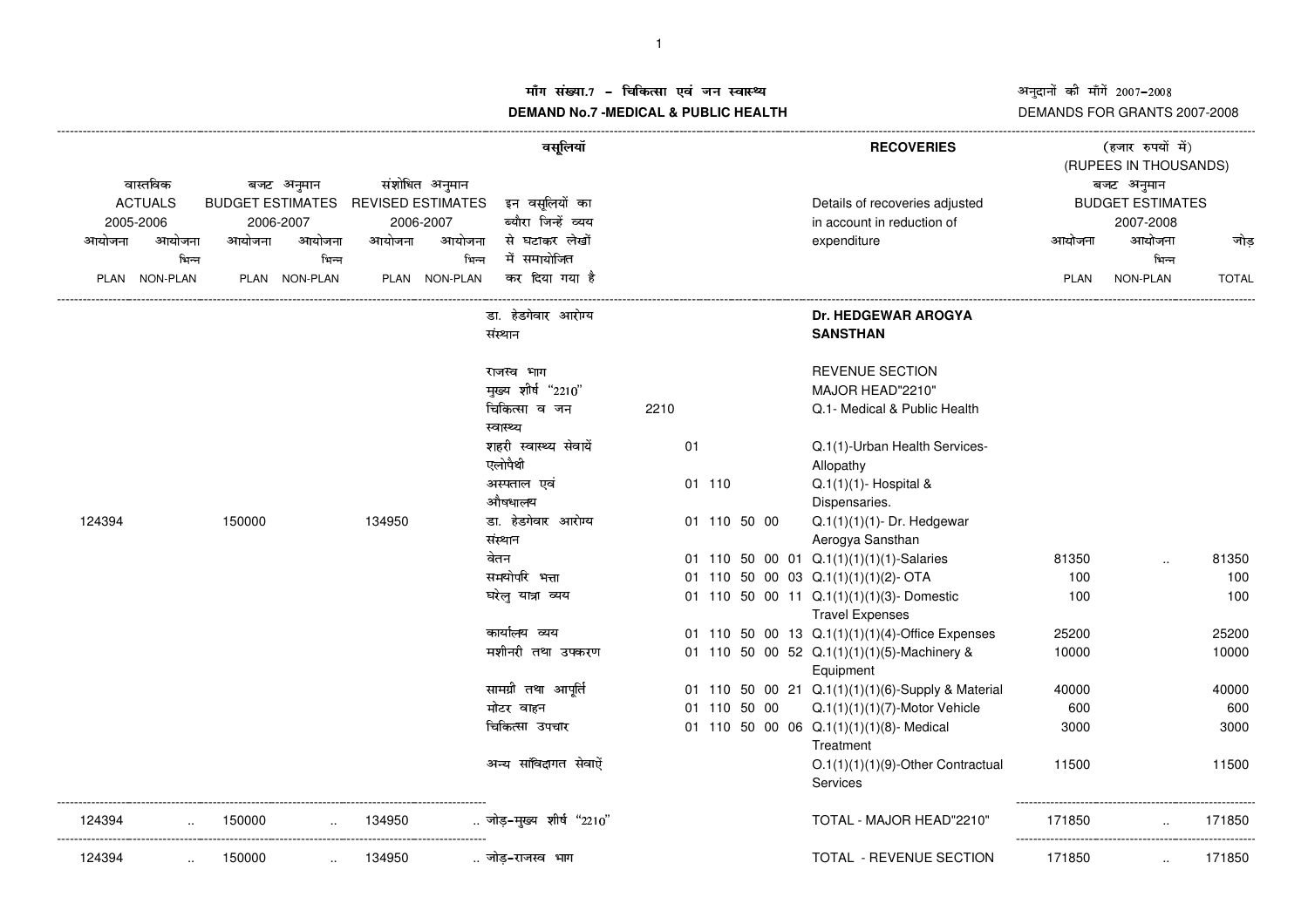## अनुदानों की माँगें 2007-2008 DEMANDS FOR GRANTS 2007-2008

## ाँग संख्या.7 – चिकित्सा एवं जन स्वास्थ्य<br>IAND N- 7 MEDIOAL 8 DUDLIO-UEALTIL **DEMAND No.7 -MEDICAL & PUBLIC HEALTH**

 (RUPEES IN THOUSANDS) ----------------------------------------------------------------------------------------------------------------------------------------------------------------------------------------------------------------------------------------------------------------------------------------------()\* +,-/.**RECOVERIES** <sup>012345673</sup>8989;:वास्तविक बजट अनुमान नुमान संशोधित अनुमान<br>MATES REVISEDESTIMATES इन् वसूलियों का Details of recoveries adjusted BUDGETEST<br>--भिन्न ACTUALSBUDGET ESTIMATES REVISED ESTIMATES इन वसुलियों का ^\_`bcadaDetails of recoveries adjusted BUDGET ESTIMATES 2005-2006 2006-2007 2006-2007 efgin account in reduction of 2007-2008आयोजना आयोजना आयोजना आयोजना आयोजना आयोजना सेंघटाकर् लेखों े साथोजना आयोजना आयोजना आयोजना जो प्रथा PLAN NON-PLAN PLAN NON-PLAN PLAN NON-PLAN PLAN NON-PLAN TOTAL ----------------------------------------------------------------------------------------------------------------------------------------------------------------------------------------------------------------------------------------------------------------------------------------------डा. हेडगेवार आरोग्य **Dr. HEDGEWAR AROGYA** संस्थान SANSTHAN राजस्व भाग ताला का सामान्य स्थान कर सामान्य स्वास्थ्य अस्ति । अस्य स्थान का स्थान कर स्थान कर स्थान कर स्थान क ´µ ¶·¸¹º¼»¹½¾¾¿¿ÀÁÂÂ MAJOR HEAD"2210" ÃÄÃÅÆÇÈÉÊË2210 Q.1- Medical & Public Health स्वास्थ्य औषधालय शहरी स्वास्थ्य सेवायें 01 Q.1(1)-Urban Health Services-एलोपैथी âAllopathy ÞßÙ×àÖÕáâ01 110  $Q.1(1)(1)$ - Hospital & Dispensaries. 124394 150000 134950 डा. हेडगेवार आरोग्य 01 110 50 00  $Q.1(1)(1)(1)$ - Dr. Hedgewar áØàí01Aerogya Sansthan 01 110 50 00 01 Q.1(1)(1)(1)(1)-Salaries 81350 ... 81350 समयोपरि भत्ता 01 110 50 00 03 Q.1(1)(1)(2)- OTA 100 100 100 100 घरेलु यात्रा व्यय þùÿùþþ<sup>01</sup> <sup>110</sup> <sup>50</sup> <sup>00</sup> <sup>11</sup> Q.1(1)(1)(1)(3)- Domestic 100 <sup>100</sup> Travel Expenses ùþùü-þþþ0101 110 50 00 13  $Q.1(1)(1)(1)(4)$ -Office Expenses  $\mathcal{L}$  and  $\mathcal{L}$  and  $\mathcal{L}$ 01 110 50 00 52 Q.1(1)(1)(1)(5)-Machinery & 10000<br>
Equipment<br>
01 110 50 00 21 Q.1(1)(1)(1)(6)-Supply & Material 40000 10000 40000 Equipment ामग्री तथा अ<br>Iटर वाहन न्य मांविदागत मेवाऐं <sup>01</sup> <sup>110</sup> <sup>50</sup> <sup>00</sup> <sup>21</sup> Q.1(1)(1)(1)(6)-Supply & Material <sup>40000</sup> <sup>40000</sup> मोटर वाहन 110 50 00  $Q.1(1)(1)(1)(7)$ -Motor Vehicle 600 600 600 चिकित्सा उपचार 01 110 50 00 06 Q.1(1)(1)(1)(8)- Medical 3000 3000 3000 3000 **Treatment** O.1(1)(1)(9)-Other Contractual 11500 11500 11500 **Services** ------------------------------------------------------------------------------------------------------ --------------------------------------------------------- 124394 $150000$  ...  $134950$  ... जोड-मख्य शीर्ष "2210" 3 <sup>2</sup> \*45677889:;; TOTAL - MAJOR HEAD"2210" <sup>171850</sup> .. <sup>171850</sup> ------------------------------------------------------------------------------------------------------ --------------------------------------------------------- 124394 .. 150000 .. 134950 .. ./10!2 .<"=TOTAL - REVENUE SECTION <sup>171850</sup> .. <sup>171850</sup>